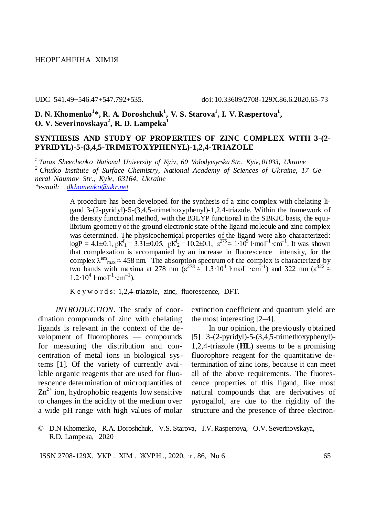UDC 541.49+546.47+547.792+535. doi: 10.33609/2708-129X.86.6.2020.65-73

**D. N. Khomenko<sup>1</sup> \*, R. A. Doroshchuk<sup>1</sup> , V. S. Starova<sup>1</sup> , I. V. Raspertova<sup>1</sup> , O. V. Severinovskaya<sup>2</sup> , R. D. Lampeka<sup>1</sup>**

## **SYNTHESIS AND STUDY OF PROPERTIES OF ZINC COMPLEX WITH 3-(2- PYRIDYL)-5-(3,4,5-TRIMETOXYPHENYL)-1,2,4-TRIAZOLE**

*1 Taras Shevchenko National University of Kyiv, 60 Volodymyrska Str., Kyiv, 01033, Ukraine <sup>2</sup> Chuiko Institute of Surface Chemistry, National Academy of Sciences of Ukraine, 17 General Naumov Str., Kyiv, 03164, Ukraine \*e-mail: [dkhomenko@ukr.net](mailto:dkhomenko@ukr.net)*

> A procedure has been developed for the synthesis of a zinc complex with chelating ligand 3-(2-pyridyl)-5-(3,4,5-trimethoxyphenyl)-1,2,4-triazole. Within the framework of the density functional method, with the B3LYP functional in the SBKJC basis, the equilibrium geometry of the ground electronic state of the ligand molecule and zinc complex was determined. The physicochemical properties of the ligand were also characterized:  $\log P = 4.1 \pm 0.1$ ,  $pK_1^f = 3.31 \pm 0.05$ ,  $pK_2^f = 10.2 \pm 0.1$ ,  $\varepsilon^{275} \approx 1.10^5$  l·mol<sup>-1</sup>·cm<sup>-1</sup>. It was shown that complexation is accompanied by an increase in fluorescence intensity, for the complex  $\lambda^{\text{em}}$ <sub>max</sub>  $\approx$  458 nm. The absorption spectrum of the complex is characterized by two bands with maxima at 278 nm  $(\epsilon^{278} \approx 1.3 \cdot 10^4 \text{ l} \cdot \text{mol}^{-1} \cdot \text{cm}^{-1})$  and 322 nm  $(\epsilon^{322} \approx$  $1.2 \cdot 10^4$  l·mol<sup>-1</sup>·cm<sup>-1</sup>).

K e y w o r d s: 1,2,4-triazole, zinc, fluorescence, DFT.

*INTRODUCTION.* The study of coordination compounds of zinc with chelating ligands is relevant in the context of the development of fluorophores — compounds for measuring the distribution and concentration of metal ions in biological systems [1]. Of the variety of currently available organic reagents that are used for fluorescence determination of microquantities of  $\text{Zn}^{2+}$  ion, hydrophobic reagents low sensitive to changes in the acidity of the medium over a wide pH range with high values of molar

extinction coefficient and quantum yield are the most interesting [2–4].

In our opinion, the previously obtained [5] 3-(2-pyridyl)-5-(3,4,5-trimethoxyphenyl)- 1,2,4-triazole (**HL**) seems to be a promising fluorophore reagent for the quantitative determination of zinc ions, because it can meet all of the above requirements. The fluorescence properties of this ligand, like most natural compounds that are derivatives of pyrogallol, are due to the rigidity of the structure and the presence of three electron-

ISSN 2708-129X. УКР. XIM. ЖУРН., 2020, т. 86, No 6 65

<sup>©</sup> D.N Khomenko, R.A. Doroshchuk, V.S. Starova, I.V. Raspertova, O.V. Severinovskaya, R.D. Lampeka, 2020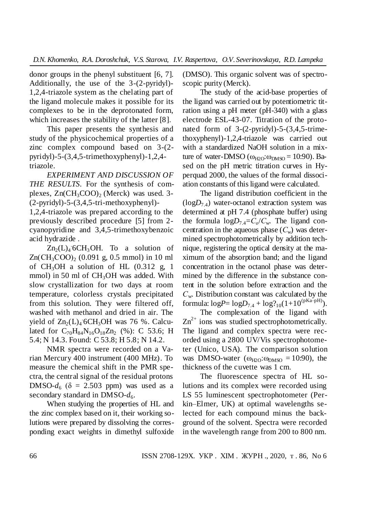donor groups in the phenyl substituent [6, 7]. Additionally, the use of the 3-(2-pyridyl)- 1,2,4-triazole system as the chelating part of the ligand molecule makes it possible for its complexes to be in the deprotonated form, which increases the stability of the latter [8].

This paper presents the synthesis and study of the physicochemical properties of a zinc complex compound based on 3-(2 pyridyl)-5-(3,4,5-trimethoxyphenyl)-1,2,4 triazole.

*EXPERIMENT AND DISCUSSION OF THE RESULTS.* For the synthesis of complexes,  $Zn(CH_3COO)$  (Merck) was used. 3-(2-pyridyl)-5-(3,4,5-tri-methoxyphenyl)-

1,2,4-triazole was prepared according to the previously described procedure [5] from 2 cyanopyridine and 3,4,5-trimethoxybenzoic acid hydrazide .

 $Zn_2(L)_4$  6CH<sub>3</sub>OH. To a solution of  $Zn(CH_3COO)_2$  (0.091 g, 0.5 mmol) in 10 ml of  $CH_3OH$  a solution of HL  $(0.312 \text{ g}, 1)$ mmol) in 50 ml of  $CH<sub>3</sub>OH$  was added. With slow crystallization for two days at room temperature, colorless crystals precipitated from this solution. They were filtered off, washed with methanol and dried in air. The yield of  $\text{Zn}_2(L)_4$  6CH<sub>3</sub>OH was 76 %. Calculated for  $C_{70}H_{84}N_{16}O_{18}Zn_2$  (%): C 53.6; H 5.4; N 14.3. Found: C 53.8; H 5.8; N 14.2.

NMR spectra were recorded on a Varian Mercury 400 instrument (400 MHz). To measure the chemical shift in the PMR spectra, the central signal of the residual protons DMSO- $d_6$  ( $\delta = 2.503$  ppm) was used as a secondary standard in DMSO- $d_6$ .

When studying the properties of HL and the zinc complex based on it, their working solutions were prepared by dissolving the corresponding exact weights in dimethyl sulfoxide (DMSO). This organic solvent was of spectroscopic purity (Merck).

The study of the acid-base properties of the ligand was carried out by potentiometric titration using a pH meter (pH-340) with a glass electrode ESL-43-07. Titration of the protonated form of 3-(2-pyridyl)-5-(3,4,5-trimethoxyphenyl)-1,2,4-triazole was carried out with a standardized NaOH solution in a mixture of water-DMSO  $(\omega_{H2O}:\omega_{DMSO} = 10:90)$ . Based on the pH metric titration curves in Hyperquad 2000, the values of the formal dissociation constants of this ligand were calculated.

The ligand distribution coefficient in the  $(logD<sub>7.4</sub>)$  water-octanol extraction system was determined at pH 7.4 (phosphate buffer) using the formula  $logD_{7.4} = C_0/C_w$ . The ligand concentration in the aqueous phase  $(C_w)$  was determined spectrophotometrically by addition technique, registering the optical density at the maximum of the absorption band; and the ligand concentration in the octanol phase was determined by the difference in the substance content in the solution before extraction and the *С*w. Distribution constant was calculated by the formula:  $logP = logD_{7.4} + log_{10}(1+10^{(pKa-pH)})$ .

The complexation of the ligand with  $Zn^{2+}$  ions was studied spectrophotometrically. The ligand and complex spectra were recorded using a 2800 UV/Vis spectrophotometer (Unico, USA). The comparison solution was DMSO-water  $(\omega_{H2O}:\omega_{DMSO} = 10:90)$ , the thickness of the cuvette was 1 cm.

The fluorescence spectra of HL solutions and its complex were recorded using LS 55 luminescent spectrophotometer (Perkin–Elmer, UK) at optimal wavelengths selected for each compound minus the background of the solvent. Spectra were recorded in the wavelength range from 200 to 800 nm.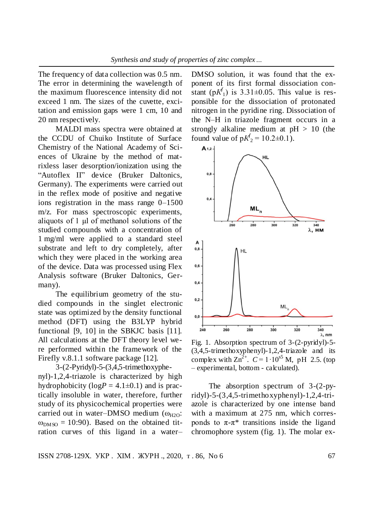The frequency of data collection was 0.5 nm. The error in determining the wavelength of the maximum fluorescence intensity did not exceed 1 nm. The sizes of the cuvette, excitation and emission gaps were 1 cm, 10 and 20 nm respectively.

MALDI mass spectra were obtained at the CCDU of Chuiko Institute of Surface Chemistry of the National Academy of Sciences of Ukraine by the method of matrixless laser desorption/ionization using the "Autoflex II" device (Bruker Daltonics, Germany). The experiments were carried out in the reflex mode of positive and negative ions registration in the mass range 0–1500 m/z. For mass spectroscopic experiments, aliquots of 1 μl of methanol solutions of the studied compounds with a concentration of 1 mg/ml were applied to a standard steel substrate and left to dry completely, after which they were placed in the working area of the device. Data was processed using Flex Analysis software (Bruker Daltonics, Germany).

The equilibrium geometry of the studied compounds in the singlet electronic state was optimized by the density functional method (DFT) using the B3LYP hybrid functional [9, 10] in the SBKJC basis [11]. All calculations at the DFT theory level were performed within the framework of the Firefly v.8.1.1 software package [12].

3-(2-Pyridyl)-5-(3,4,5-trimethoxyphenyl)-1,2,4-triazole is characterized by high hydrophobicity  $(logP = 4.1 \pm 0.1)$  and is practically insoluble in water, therefore, further study of its physicochemical properties were carried out in water–DMSO medium  $(\omega_{H2O})$ :  $\omega_{\text{DMSO}} = 10:90$ . Based on the obtained titration curves of this ligand in a water–

DMSO solution, it was found that the exponent of its first formal dissociation constant (р*К f*  $\mathbf{I}_1$ ) is 3.31 $\pm$ 0.05. This value is responsible for the dissociation of protonated nitrogen in the pyridine ring. Dissociation of the N–H in triazole fragment occurs in a strongly alkaline medium at  $pH > 10$  (the found value of  $pK_2^f = 10.2 \pm 0.1$ .



Fig. 1. Absorption spectrum of 3-(2-pyridyl)-5- (3,4,5-trimethoxyphenyl)-1,2,4-triazole and its complex with  $\text{Zn}^{2+}$ .  $C = 1 \cdot 10^{55}$  M, pH 2.5. (top – experimental, bottom - calculated).

The absorption spectrum of 3-(2-pyridyl)-5-(3,4,5-trimethoxyphenyl)-1,2,4-triazole is characterized by one intense band with a maximum at 275 nm, which corresponds to  $π$ -π<sup>\*</sup> transitions inside the ligand chromophore system (fig. 1). The molar ex-

ISSN 2708-129X. УКР. XIM. ЖУРН., 2020, т. 86, No 6 67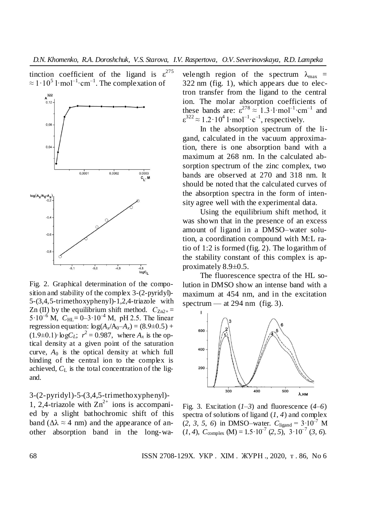tinction coefficient of the ligand is  $\varepsilon^{275}$  $\approx 1 \cdot 10^5$  l·mol<sup>-1</sup>·cm<sup>-1</sup>. The complexation of



Fig. 2. Graphical determination of the composition and stability of the complex 3-(2-pyridyl)- 5-(3,4,5-trimethoxyphenyl)-1,2,4-triazole with Zn (II) by the equilibrium shift method.  $C_{\text{Zn2+}} =$  $5.10^{-6}$  M,  $C_{\text{HL}} = 0.3.10^{-4}$  M, pH 2.5. The linear regression equation:  $log(A_x/A_0-A_x) = (8.9\pm0.5) +$  $(1.9\pm0.1)$ ·log $C_L$ ;  $r^2 = 0.987$ , where  $A_x$  is the optical density at a given point of the saturation curve, *A*<sup>0</sup> is the optical density at which full binding of the central ion to the complex is achieved,  $C_{\text{L}}$  is the total concentration of the ligand.

3-(2-pyridyl)-5-(3,4,5-trimethoxyphenyl)- 1, 2,4-triazole with  $Zn^{2+}$  ions is accompanied by a slight bathochromic shift of this band ( $\Delta \lambda \approx 4$  nm) and the appearance of another absorption band in the long-wa-

velength region of the spectrum  $\lambda_{\text{max}}$  = 322 nm (fig. 1), which appears due to electron transfer from the ligand to the central ion. The molar absorption coefficients of these bands are:  $\varepsilon^{278} \approx 1.3 \cdot 1 \cdot \text{mol}^{-1} \cdot \text{cm}^{-1}$  and  $\varepsilon^{322} \approx 1.2 \cdot 10^4 \cdot 1 \cdot \text{mol}^{-1} \cdot \text{c}^{-1}$ , respectively.

In the absorption spectrum of the ligand, calculated in the vacuum approximation, there is one absorption band with a maximum at 268 nm. In the calculated absorption spectrum of the zinc complex, two bands are observed at 270 and 318 nm. It should be noted that the calculated curves of the absorption spectra in the form of intensity agree well with the experimental data.

Using the equilibrium shift method, it was shown that in the presence of an excess amount of ligand in a DMSO–water solution, a coordination compound with M:L ratio of 1:2 is formed (fig. 2). The logarithm of the stability constant of this complex is approximately 8.9±0.5.

The fluorescence spectra of the HL solution in DMSO show an intense band with a maximum at 454 nm, and in the excitation spectrum — at  $294$  nm (fig. 3).



Fig. 3. Excitation  $(1-3)$  and fluorescence  $(4-6)$ spectra of solutions of ligand  $(1, 4)$  and complex  $(2, 3, 5, 6)$  in DMSO–water.  $C_{\text{ligand}} = 3.10^{-7}$  M  $(1, 4)$ ,  $C_{\text{complex}}$  (M) = 1.5  $10^{-7}$  (2, 5),  $3 \cdot 10^{-7}$  (3, 6).

68 ISSN 2708-129X. УКР . ХІМ . ЖУРН ., 2020, т . 86, No 6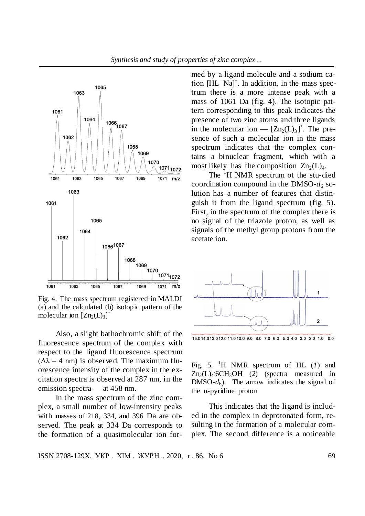

Fig. 4. The mass spectrum registered in MALDI (a) and the calculated (b) isotopic pattern of the molecular ion  $[Zn_2(L)_3]^+$ 

Also, a slight bathochromic shift of the fluorescence spectrum of the complex with respect to the ligand fluorescence spectrum  $(\Delta \lambda = 4$  nm) is observed. The maximum fluorescence intensity of the complex in the excitation spectra is observed at 287 nm, in the emission spectra — at 458 nm.

In the mass spectrum of the zinc complex, a small number of low-intensity peaks with masses of 218, 334, and 396 Da are observed. The peak at 334 Da corresponds to the formation of a quasimolecular ion formed by a ligand molecule and a sodium cation [HL+Na]<sup>+</sup>. In addition, in the mass spectrum there is a more intense peak with a mass of 1061 Da (fig. 4). The isotopic pattern corresponding to this peak indicates the presence of two zinc atoms and three ligands in the molecular ion —  $[Zn_2(L)_3]^+$ . The presence of such a molecular ion in the mass spectrum indicates that the complex contains a binuclear fragment, which with a most likely has the composition  $Zn_2(L)_4$ .

*Synthesis and study of properties of zinc complex…*

The <sup>1</sup>H NMR spectrum of the stu-died coordination compound in the DMSO- $d_6$  solution has a number of features that distinguish it from the ligand spectrum (fig. 5). First, in the spectrum of the complex there is no signal of the triazole proton, as well as signals of the methyl group protons from the acetate ion.



15.014.013.012.011.010.09.08.07.06.05.04.03.02.01.00.0

Fig. 5. <sup>1</sup>H NMR spectrum of HL  $(l)$  and Zn<sub>2</sub>(L)<sub>4</sub> 6CH<sub>3</sub>OH (2) (spectra measured in DMSO- $d_6$ ). The arrow indicates the signal of the α-pyridine proton

This indicates that the ligand is included in the complex in deprotonated form, resulting in the formation of a molecular complex. The second difference is a noticeable

ISSN 2708-129X. УКР. XIM. ЖУРН., 2020, т. 86, No 6 69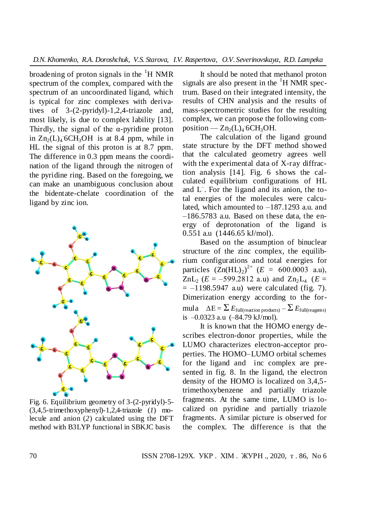broadening of proton signals in the  ${}^{1}H$  NMR spectrum of the complex, compared with the spectrum of an uncoordinated ligand, which is typical for zinc complexes with derivatives of 3-(2-pyridyl)-1,2,4-triazole and, most likely, is due to complex lability [13]. Thirdly, the signal of the  $\alpha$ -pyridine proton in  $Zn_2(L)$  6CH<sub>3</sub>OH is at 8.4 ppm, while in HL the signal of this proton is at 8.7 ppm. The difference in 0.3 ppm means the coordination of the ligand through the nitrogen of the pyridine ring. Based on the foregoing, we can make an unambiguous conclusion about the bidentate-chelate coordination of the ligand by zinc ion.



Fig. 6. Equilibrium geometry of 3-(2-pyridyl)-5- (3,4,5-trimethoxyphenyl)-1,2,4-triazole (*1*) molecule and anion (*2*) calculated using the DFT method with B3LYP functional in SBKJC basis

It should be noted that methanol proton signals are also present in the  $H<sup>1</sup>H NMR$  spectrum. Based on their integrated intensity, the results of CHN analysis and the results of mass-spectrometric studies for the resulting complex, we can propose the following composition —  $Zn_2(L)_4$  6CH<sub>3</sub>OH.

The calculation of the ligand ground state structure by the DFT method showed that the calculated geometry agrees well with the experimental data of X-ray diffraction analysis [14]. Fig. 6 shows the calculated equilibrium configurations of HL and L– . For the ligand and its anion, the total energies of the molecules were calculated, which amounted to –187.1293 a.u. and –186.5783 a.u. Based on these data, the energy of deprotonation of the ligand is 0.551 a.u (1446.65 kJ/mol).

Based on the assumption of binuclear structure of the zinc complex, the equilibrium configurations and total energies for particles  $(Zn(HL)_2)^{2+}$   $(E = 600.0003$  a.u),  $ZnL_2$  ( $E = -599.2812$  a.u) and  $Zn_2L_4$  ( $E =$  $= -1198.5947$  a.u) were calculated (fig. 7). Dimerization energy according to the formula  $\Delta E = \sum E_{\text{full}(\text{reaction products})} - \sum E_{\text{full}(\text{reagents})}$ is –0.0323 a.u (–84.79 kJ/mol).

It is known that the HOMO energy describes electron-donor properties, while the LUMO characterizes electron-acceptor properties. The HOMO–LUMO orbital schemes for the ligand and inc complex are presented in fig. 8. In the ligand, the electron density of the HOMO is localized on 3,4,5 trimethoxybenzene and partially triazole fragments. At the same time, LUMO is localized on pyridine and partially triazole fragments. A similar picture is observed for the complex. The difference is that the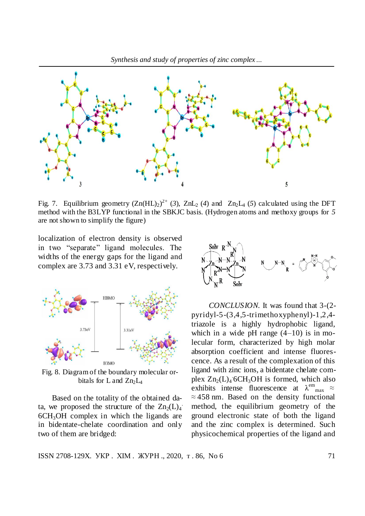

Fig. 7. Equilibrium geometry  $(Zn(HL)_2)^{2+}$  (3),  $ZnL_2$  (4) and  $Zn_2L_4$  (5) calculated using the DFT method with the B3LYP functional in the SBKJC basis. (Hydrogen atoms and methoxy groups for *5* are not shown to simplify the figure)

localization of electron density is observed in two "separate" ligand molecules. The widths of the energy gaps for the ligand and complex are 3.73 and 3.31 eV, respectively.



Fig. 8. Diagram of the boundary molecular orbitals for L and  $Zn_2L_4$ 

Based on the totality of the obtained data, we proposed the structure of the  $Zn_2(L)_4$  $6CH<sub>3</sub>OH$  complex in which the ligands are in bidentate-chelate coordination and only two of them are bridged:



*CONCLUSION.* It was found that 3-(2 pyridyl-5-(3,4,5-trimethoxyphenyl)-1,2,4 triazole is a highly hydrophobic ligand, which in a wide pH range  $(4-10)$  is in molecular form, characterized by high molar absorption coefficient and intense fluorescence. As a result of the complexation of this ligand with zinc ions, a bidentate chelate complex  $Zn_2(L)_4$  6CH<sub>3</sub>OH is formed, which also exhibits intense fluorescence at  $\lambda^{\text{em}}_{\text{max}} \approx$ ≈ 458 nm. Based on the density functional method, the equilibrium geometry of the ground electronic state of both the ligand and the zinc complex is determined. Such physicochemical properties of the ligand and

ISSN 2708-129X. УКР . ХІМ . ЖУРН ., 2020, т . 86, No 6 71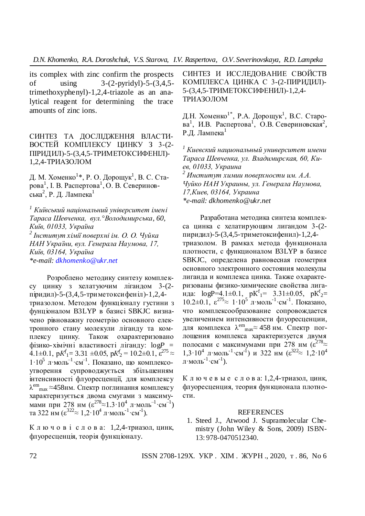its complex with zinc confirm the prospects of using 3-(2-pyridyl)-5-(3,4,5 trimethoxyphenyl)-1,2,4-triazole as an analytical reagent for determining the trace amounts of zinc ions.

СИНТЕЗ ТА ДОСЛІДЖЕННЯ ВЛАСТИ-ВОСТЕЙ КОМПЛЕКСУ ЦИНКУ З 3-(2- ПІРИДИЛ)-5-(3,4,5-ТРИМЕТОКСИФЕНІЛ)- 1,2,4-ТРИАЗОЛОМ

Д. М. Хоменко<sup>1</sup>\*, Р. О. Дорощук<sup>1</sup>, В. С. Старова<sup>1</sup>, І. В. Распертова<sup>1</sup>, О. В. Севериновська<sup>2</sup>, Р. Д. Лампека<sup>1</sup>

*<sup>1</sup> Київський національний університет імені Тараса Шевченка, вул.°Володимирська, 60, Київ, 01033, Україна 2 Інститут хімії поверхні ім. О. О. Чуйка НАН України, вул. Генерала Наумова, 17, Київ, 03164, Україна \*e-mail: [dkhomenko@ukr.net](mailto:dkhomenko@ukr.net)*

Розроблено методику синтезу комплексу цинку з хелатуючим лігандом 3-(2 піридил)-5-(3,4,5-триметоксифеніл)-1,2,4 триазолом. Методом функціоналу густини з фунціоналом B3LYP в базисі SBKJC визначено рівноважну геометрію основного електронного стану молекули ліганду та комплексу цинку. Також охарактеризовано фізико-хімічні властивості ліганду: log*P* =  $4.1\pm0.1$ ,  $pK^f$ <sub>1</sub> = 3.31  $\pm0.05$ ,  $pK^f$ <sub>2</sub> = 10.2 $\pm0.1$ ,  $\varepsilon^{275}$   $\approx$  $1.10^5$  л $\cdot$ моль<sup>-1</sup> $\cdot$ см<sup>-1</sup>. Показано, що комплексоутворення супроводжується збільшенням інтенсивності флуоресценції, для комплексу  $\lambda^{\rm em}$ <sub>max</sub>  $\approx$ 458нм. Спектр поглинання комплексу характеризується двома смугами з максимумами при 278 нм ( $\varepsilon^{278} \approx 1.3 \cdot 10^4$  л $\cdot$ моль<sup>-1</sup> $\cdot$ см<sup>-1</sup>) та 322 нм ( $\varepsilon^{322} \approx 1.2 \cdot 10^4$  л $\cdot$ моль<sup>-1</sup> $\cdot$ см<sup>-1</sup>).

К л ю ч о в і с л о в а: 1,2,4-триазол, цинк, флуоресценція, теорія функціоналу.

СИНТЕЗ И ИССЛЕДОВАНИЕ СВОЙСТВ КОМПЛЕКСА ЦИНКА С 3-(2-ПИРИДИЛ)- 5-(3,4,5-ТРИМЕТОКСИФЕНИЛ)-1,2,4- ТРИАЗОЛОМ

Д.Н. Хоменко<sup>1\*</sup>, Р.А. Дорощук<sup>1</sup>, В.С. Старова<sup>1</sup>, И.В. Распертова<sup>1</sup>, О.В. Севериновская<sup>2</sup>, Р.Д. Лампека $<sup>1</sup>$ </sup>

*<sup>1</sup>Киевский национальный университет имени Тараса Шевченка, ул. Владимирская, 60, Киев, 01033, Украина <sup>2</sup>Институт химии поверхности им. А.А. Чуйко НАН Украины, ул. Генерала Наумова, 17,Киев, 03164, Украина \*е-mail: [dkhomenko@ukr.net](mailto:dkhomenko@ukr.net)*

Разработана методика синтеза комплекса цинка с хелатирующим лигандом 3-(2 пиридил)-5-(3,4,5-триметоксифенил)-1,2,4 триазолом. В рамках метода функционала плотности, с функционалом B3LYP в базисе SBKJC, определена равновесная геометрия основного электронного состояния молекулы лиганда и комплекса цинка. Также охарактеризованы физико-химические свойства лиганда:  $logP=4.1\pm0.1$ ,  $pK^f = 3.31\pm0.05$ ,  $pK^f =$ 10.2±0.1,  $\varepsilon^{275}$ ≈ 1·10<sup>5</sup> л·моль<sup>-1</sup>·см<sup>-1</sup>. Показано, что комплексообразование сопровождается увеличением интенсивности флуоресценции, для комплекса  $\lambda^{\text{em}}$ <sub>max</sub> $\approx$  458 нм. Спектр поглощения комплекса характеризуется двумя полосами с максимумами при 278 нм  $(\epsilon^{278} \approx$  $1,3.10^4$  л·моль<sup>-1</sup>·см<sup>-1</sup>) и 322 нм ( $\varepsilon^{32} \approx 1,2.10^4$ л $\cdot$ моль $^{-1}\cdot$ см $^{-1}$ ).

К л ю ч е в ы е с л о в а: 1,2,4-триазол, цинк, флуоресценция, теория функционала плотности.

## REFERENCES

1. Steed J., Atwood J. Supramolecular Chemistry (John Wiley & Sons, 2009) ISBN-13: 978-0470512340.

72 ISSN 2708-129X. УКР . ХІМ . ЖУРН ., 2020, т . 86, No 6